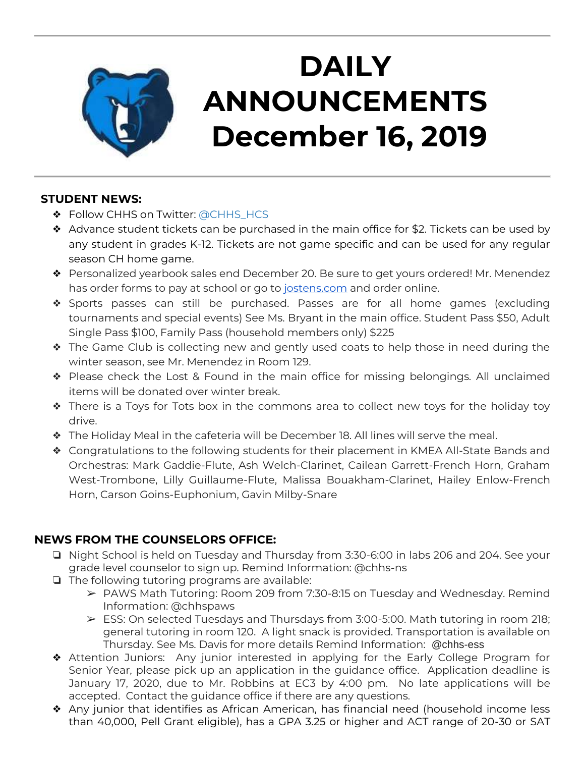

# **DAILY ANNOUNCEMENTS December 16, 2019**

### **STUDENT NEWS:**

- ❖ Follow CHHS on Twitter: [@CHHS\\_HCS](https://twitter.com/CHHS_HCS)
- ❖ Advance student tickets can be purchased in the main office for \$2. Tickets can be used by any student in grades K-12. Tickets are not game specific and can be used for any regular season CH home game.
- ❖ Personalized yearbook sales end December 20. Be sure to get yours ordered! Mr. Menendez has order forms to pay at school or go to [jostens.com](http://jostens.com/) and order online.
- ❖ Sports passes can still be purchased. Passes are for all home games (excluding tournaments and special events) See Ms. Bryant in the main office. Student Pass \$50, Adult Single Pass \$100, Family Pass (household members only) \$225
- ❖ The Game Club is collecting new and gently used coats to help those in need during the winter season, see Mr. Menendez in Room 129.
- ❖ Please check the Lost & Found in the main office for missing belongings. All unclaimed items will be donated over winter break.
- ❖ There is a Toys for Tots box in the commons area to collect new toys for the holiday toy drive.
- ❖ The Holiday Meal in the cafeteria will be December 18. All lines will serve the meal.
- ❖ Congratulations to the following students for their placement in KMEA All-State Bands and Orchestras: Mark Gaddie-Flute, Ash Welch-Clarinet, Cailean Garrett-French Horn, Graham West-Trombone, Lilly Guillaume-Flute, Malissa Bouakham-Clarinet, Hailey Enlow-French Horn, Carson Goins-Euphonium, Gavin Milby-Snare

## **NEWS FROM THE COUNSELORS OFFICE:**

- ❏ Night School is held on Tuesday and Thursday from 3:30-6:00 in labs 206 and 204. See your grade level counselor to sign up. Remind Information: @chhs-ns
- ❏ The following tutoring programs are available:
	- ➢ PAWS Math Tutoring: Room 209 from 7:30-8:15 on Tuesday and Wednesday. Remind Information: @chhspaws
	- ➢ ESS: On selected Tuesdays and Thursdays from 3:00-5:00. Math tutoring in room 218; general tutoring in room 120. A light snack is provided. Transportation is available on Thursday. See Ms. Davis for more details Remind Information: @chhs-ess
- ❖ Attention Juniors: Any junior interested in applying for the Early College Program for Senior Year, please pick up an application in the guidance office. Application deadline is January 17, 2020, due to Mr. Robbins at EC3 by 4:00 pm. No late applications will be accepted. Contact the guidance office if there are any questions.
- ❖ Any junior that identifies as African American, has financial need (household income less than 40,000, Pell Grant eligible), has a GPA 3.25 or higher and ACT range of 20-30 or SAT